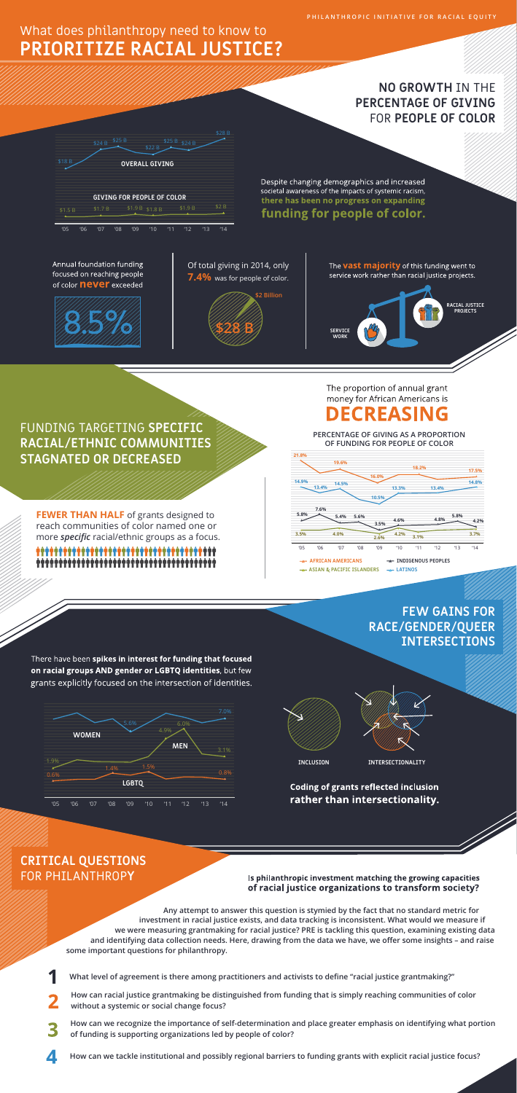**PHILANTHROPIC INITIATIVE FOR RACIAL EQUITY**

# What does philanthropy need to know to **PRIORITIZE RACIAL JUSTICE?**





**\$28 B**

The **vast majority** of this funding went to service work rather than racial justice projects.

### **NO GROWTH** IN THE **PERCENTAGE OF GIVING**  FOR **PEOPLE OF COLOR**

4.9%

6.0%

3.1%

5.6%

7.0%



**WOMEN**

**MEN**

# **FEW GAINS FOR RACE/GENDER/QUEER INTERSECTIONS**

There have been spikes in interest for funding that focused on racial groups AND gender or LGBTQ identities, but few grants explicitly focused on the intersection of identities.

**INCLUSION INTERSECTIONALITY**

**Coding of grants reflected inclusion** rather than intersectionality.

- **What level of agreement is there among practitioners and activists to define "racial justice grantmaking?"**
- **How can racial justice grantmaking be distinguished from funding that is simply reaching communities of color without a systemic or social change focus?**
- **How can we recognize the importance of self-determination and place greater emphasis on identifying what portion of funding is supporting organizations led by people of color?** 
	- **How can we tackle institutional and possibly regional barriers to funding grants with explicit racial justice focus?**

**FEWER THAN HALF** of grants designed to reach communities of color named one or more *specific* racial/ethnic groups as a focus.

#### money for African Americans is **DECREASING**

The proportion of annual grant

**Any attempt to answer this question is stymied by the fact that no standard metric for investment in racial justice exists, and data tracking is inconsistent. What would we measure if we were measuring grantmaking for racial justice? PRE is tackling this question, examining existing data and identifying data collection needs. Here, drawing from the data we have, we offer some insights – and raise some important questions for philanthropy.**

### **CRITICAL QUESTIONS**  FOR PHILANTHROP**Y**

#### Is philanthropic investment matching the growing capacities of racial justice organizations to transform society?



\$28 B

\$22 B

 $$25 B $324 B$ 

Despite changing demographics and increased societal awareness of the impacts of systemic racism, there has been no progress on expanding

## funding for people of color.

Annual foundation funding focused on reaching people of color **never** exceeded

\$24 B \$25 B



FUNDING TARGETING **SPECIFIC RACIAL/ETHNIC COMMUNITIES STAGNATED OR DECREASED**



 **PERCENTAGE OF GIVING AS A PROPORTION OF FUNDING FOR PEOPLE OF COLOR**